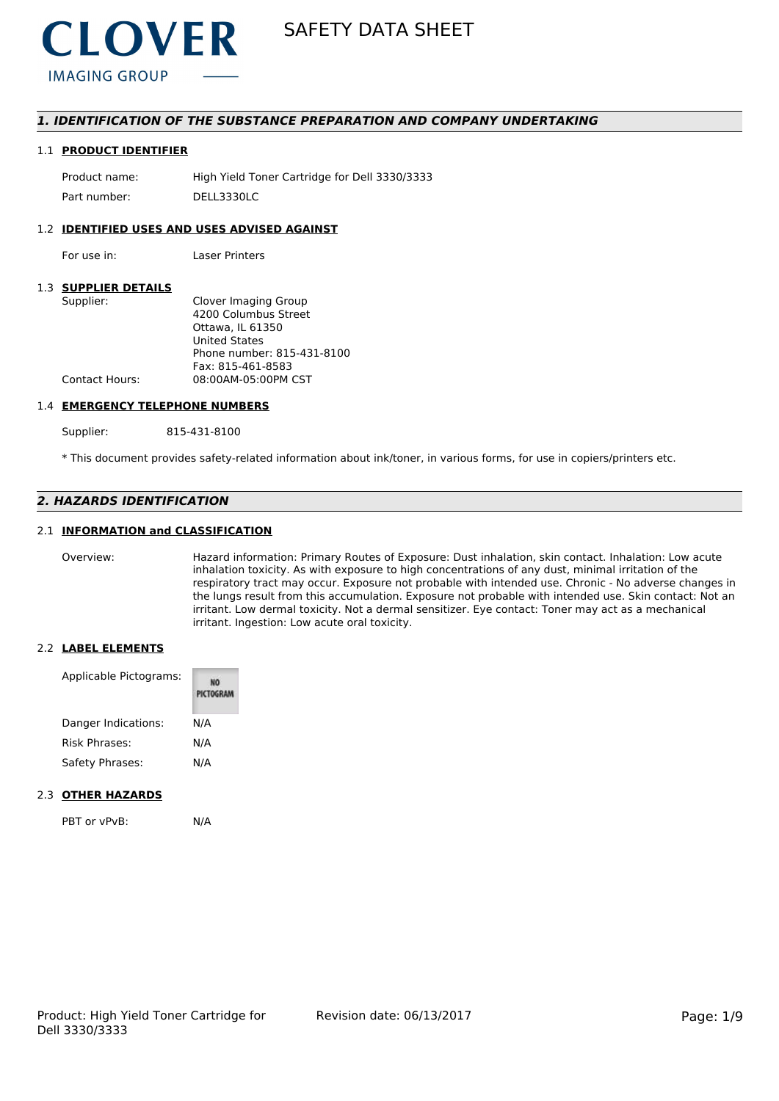

# *1. IDENTIFICATION OF THE SUBSTANCE PREPARATION AND COMPANY UNDERTAKING*

#### 1.1 **PRODUCT IDENTIFIER**

Product name: High Yield Toner Cartridge for Dell 3330/3333 Part number: DELL3330LC

### 1.2 **IDENTIFIED USES AND USES ADVISED AGAINST**

For use in: Laser Printers

# 1.3 **SUPPLIER DETAILS**

| Clover Imaging Group       |
|----------------------------|
| 4200 Columbus Street       |
| Ottawa. IL 61350           |
| <b>United States</b>       |
| Phone number: 815-431-8100 |
| Fax: 815-461-8583          |
| 08:00AM-05:00PM CST        |
|                            |

#### 1.4 **EMERGENCY TELEPHONE NUMBERS**

Supplier: 815-431-8100

\* This document provides safety-related information about ink/toner, in various forms, for use in copiers/printers etc.

# *2. HAZARDS IDENTIFICATION*

# 2.1 **INFORMATION and CLASSIFICATION**

Overview: Hazard information: Primary Routes of Exposure: Dust inhalation, skin contact. Inhalation: Low acute inhalation toxicity. As with exposure to high concentrations of any dust, minimal irritation of the respiratory tract may occur. Exposure not probable with intended use. Chronic - No adverse changes in the lungs result from this accumulation. Exposure not probable with intended use. Skin contact: Not an irritant. Low dermal toxicity. Not a dermal sensitizer. Eye contact: Toner may act as a mechanical irritant. Ingestion: Low acute oral toxicity.

#### 2.2 **LABEL ELEMENTS**

| Applicable Pictograms: | PICTOGRAM |
|------------------------|-----------|
| Danger Indications:    | N/A       |
| Risk Phrases:          | N/A       |
| Safety Phrases:        | N/A       |

#### 2.3 **OTHER HAZARDS**

PBT or vPvB: N/A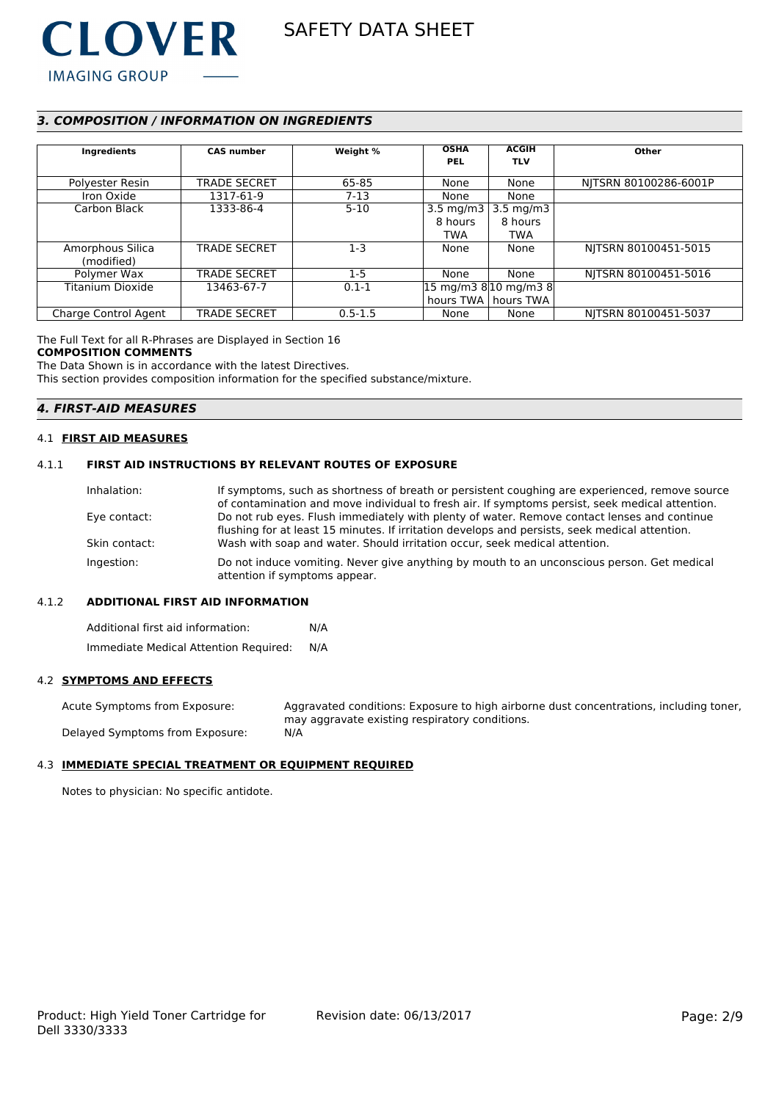

# *3. COMPOSITION / INFORMATION ON INGREDIENTS*

| Ingredients          | <b>CAS number</b>   | Weight %    | <b>OSHA</b><br><b>PEL</b> | <b>ACGIH</b><br><b>TLV</b>                                | Other                 |
|----------------------|---------------------|-------------|---------------------------|-----------------------------------------------------------|-----------------------|
| Polyester Resin      | <b>TRADE SECRET</b> | 65-85       | None                      | None                                                      | NITSRN 80100286-6001P |
| Iron Oxide           | 1317-61-9           | $7-13$      | None                      | None                                                      |                       |
| Carbon Black         | 1333-86-4           | $5-10$      | 3.5 mg/m $3$              | 3.5 mg/m3                                                 |                       |
|                      |                     |             | 8 hours                   | 8 hours                                                   |                       |
|                      |                     |             | <b>TWA</b>                | TWA                                                       |                       |
| Amorphous Silica     | <b>TRADE SECRET</b> | $1 - 3$     | None                      | None                                                      | NITSRN 80100451-5015  |
| (modified)           |                     |             |                           |                                                           |                       |
| Polymer Wax          | <b>TRADE SECRET</b> | $1-5$       | None                      | None                                                      | NITSRN 80100451-5016  |
| Titanium Dioxide     | 13463-67-7          | $0.1 - 1$   |                           | $ 15 \text{ mg/m}3 \text{ 8} 10 \text{ mg/m}3 \text{ 8} $ |                       |
|                      |                     |             |                           | hours TWA   hours TWA                                     |                       |
| Charge Control Agent | <b>TRADE SECRET</b> | $0.5 - 1.5$ | None                      | None                                                      | NITSRN 80100451-5037  |

The Full Text for all R-Phrases are Displayed in Section 16

#### **COMPOSITION COMMENTS**

The Data Shown is in accordance with the latest Directives.

This section provides composition information for the specified substance/mixture.

# *4. FIRST-AID MEASURES*

## 4.1 **FIRST AID MEASURES**

# 4.1.1 **FIRST AID INSTRUCTIONS BY RELEVANT ROUTES OF EXPOSURE**

| Inhalation:   | If symptoms, such as shortness of breath or persistent coughing are experienced, remove source<br>of contamination and move individual to fresh air. If symptoms persist, seek medical attention. |
|---------------|---------------------------------------------------------------------------------------------------------------------------------------------------------------------------------------------------|
| Eye contact:  | Do not rub eyes. Flush immediately with plenty of water. Remove contact lenses and continue                                                                                                       |
| Skin contact: | flushing for at least 15 minutes. If irritation develops and persists, seek medical attention.<br>Wash with soap and water. Should irritation occur, seek medical attention.                      |
| Ingestion:    | Do not induce vomiting. Never give anything by mouth to an unconscious person. Get medical<br>attention if symptoms appear.                                                                       |

#### 4.1.2 **ADDITIONAL FIRST AID INFORMATION**

Additional first aid information: N/A Immediate Medical Attention Required: N/A

#### 4.2 **SYMPTOMS AND EFFECTS**

Acute Symptoms from Exposure: Aggravated conditions: Exposure to high airborne dust concentrations, including toner, may aggravate existing respiratory conditions. Delayed Symptoms from Exposure: N/A

### 4.3 **IMMEDIATE SPECIAL TREATMENT OR EQUIPMENT REQUIRED**

Notes to physician: No specific antidote.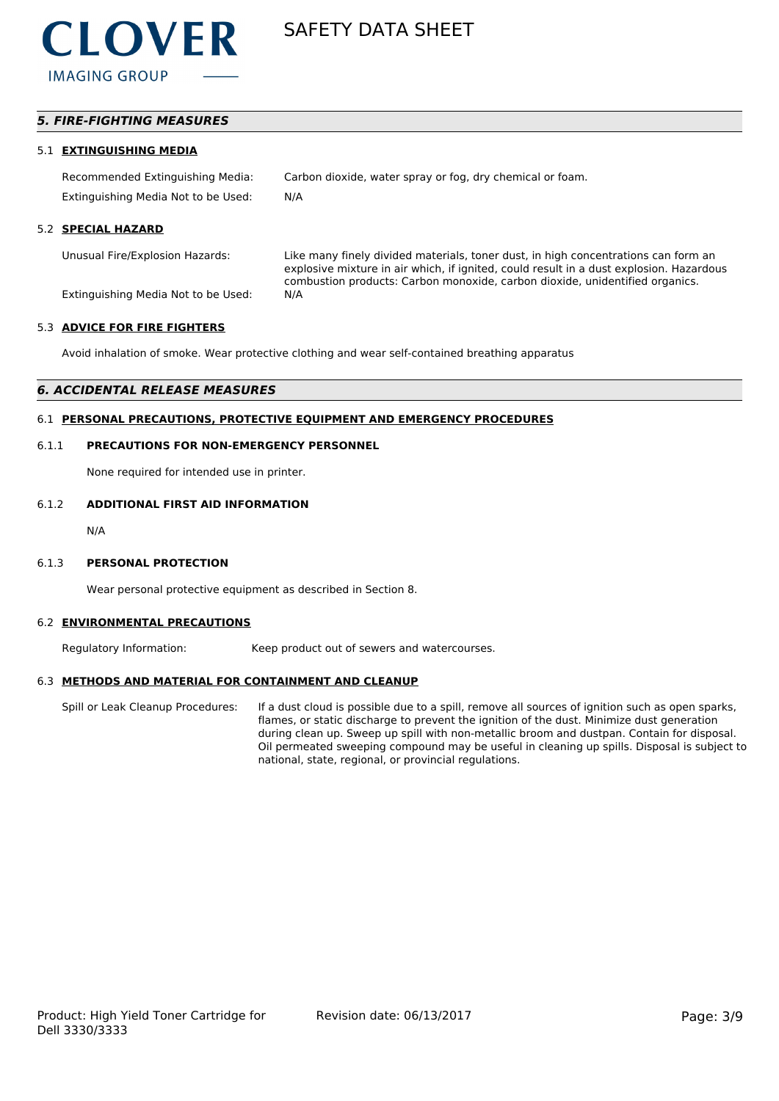

# *5. FIRE-FIGHTING MEASURES*

#### 5.1 **EXTINGUISHING MEDIA**

Recommended Extinguishing Media: Carbon dioxide, water spray or fog, dry chemical or foam. Extinguishing Media Not to be Used: N/A

#### 5.2 **SPECIAL HAZARD**

Unusual Fire/Explosion Hazards: Like many finely divided materials, toner dust, in high concentrations can form an explosive mixture in air which, if ignited, could result in a dust explosion. Hazardous combustion products: Carbon monoxide, carbon dioxide, unidentified organics.

Extinguishing Media Not to be Used: N/A

#### 5.3 **ADVICE FOR FIRE FIGHTERS**

Avoid inhalation of smoke. Wear protective clothing and wear self-contained breathing apparatus

#### *6. ACCIDENTAL RELEASE MEASURES*

# 6.1 **PERSONAL PRECAUTIONS, PROTECTIVE EQUIPMENT AND EMERGENCY PROCEDURES**

#### 6.1.1 **PRECAUTIONS FOR NON-EMERGENCY PERSONNEL**

None required for intended use in printer.

#### 6.1.2 **ADDITIONAL FIRST AID INFORMATION**

N/A

#### 6.1.3 **PERSONAL PROTECTION**

Wear personal protective equipment as described in Section 8.

#### 6.2 **ENVIRONMENTAL PRECAUTIONS**

Regulatory Information: Keep product out of sewers and watercourses.

#### 6.3 **METHODS AND MATERIAL FOR CONTAINMENT AND CLEANUP**

Spill or Leak Cleanup Procedures: If a dust cloud is possible due to a spill, remove all sources of ignition such as open sparks, flames, or static discharge to prevent the ignition of the dust. Minimize dust generation during clean up. Sweep up spill with non-metallic broom and dustpan. Contain for disposal. Oil permeated sweeping compound may be useful in cleaning up spills. Disposal is subject to national, state, regional, or provincial regulations.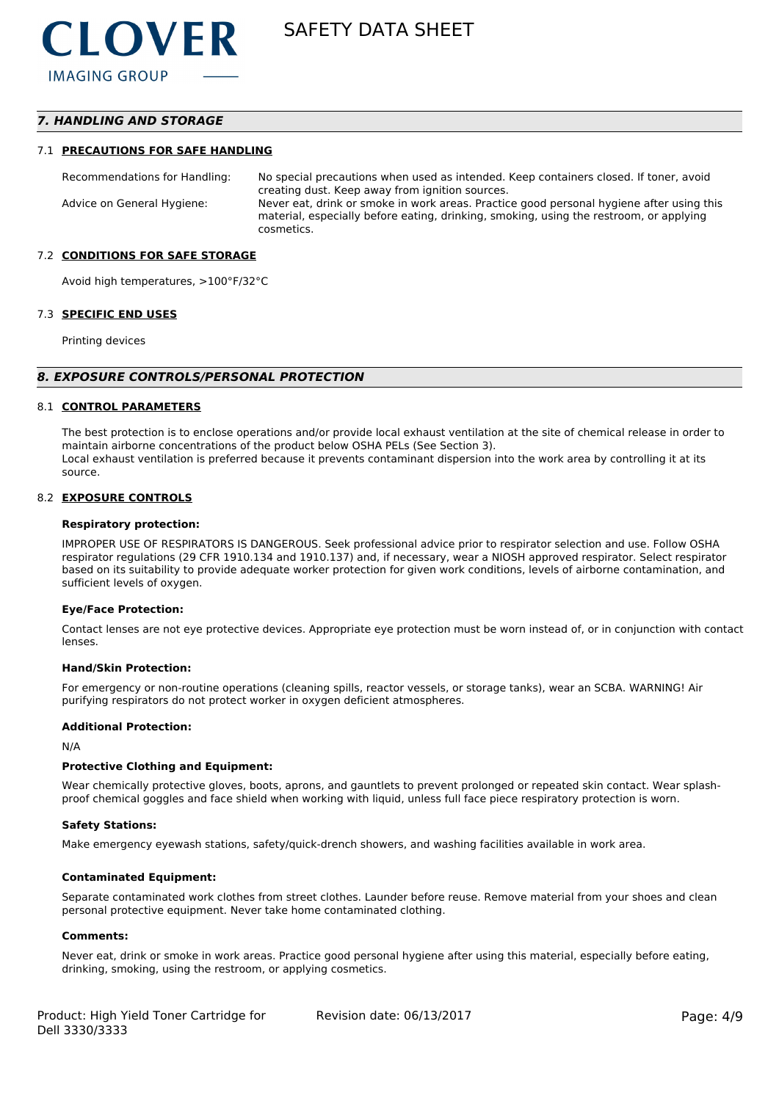# *7. HANDLING AND STORAGE*

#### 7.1 **PRECAUTIONS FOR SAFE HANDLING**

Recommendations for Handling: No special precautions when used as intended. Keep containers closed. If toner, avoid creating dust. Keep away from ignition sources. Advice on General Hygiene: Never eat, drink or smoke in work areas. Practice good personal hygiene after using this material, especially before eating, drinking, smoking, using the restroom, or applying cosmetics.

#### 7.2 **CONDITIONS FOR SAFE STORAGE**

Avoid high temperatures, >100°F/32°C

#### 7.3 **SPECIFIC END USES**

Printing devices

#### *8. EXPOSURE CONTROLS/PERSONAL PROTECTION*

#### 8.1 **CONTROL PARAMETERS**

The best protection is to enclose operations and/or provide local exhaust ventilation at the site of chemical release in order to maintain airborne concentrations of the product below OSHA PELs (See Section 3). Local exhaust ventilation is preferred because it prevents contaminant dispersion into the work area by controlling it at its source.

#### 8.2 **EXPOSURE CONTROLS**

#### **Respiratory protection:**

IMPROPER USE OF RESPIRATORS IS DANGEROUS. Seek professional advice prior to respirator selection and use. Follow OSHA respirator regulations (29 CFR 1910.134 and 1910.137) and, if necessary, wear a NIOSH approved respirator. Select respirator based on its suitability to provide adequate worker protection for given work conditions, levels of airborne contamination, and sufficient levels of oxygen.

#### **Eye/Face Protection:**

Contact lenses are not eye protective devices. Appropriate eye protection must be worn instead of, or in conjunction with contact lenses.

#### **Hand/Skin Protection:**

For emergency or non-routine operations (cleaning spills, reactor vessels, or storage tanks), wear an SCBA. WARNING! Air purifying respirators do not protect worker in oxygen deficient atmospheres.

#### **Additional Protection:**

N/A

#### **Protective Clothing and Equipment:**

Wear chemically protective gloves, boots, aprons, and gauntlets to prevent prolonged or repeated skin contact. Wear splashproof chemical goggles and face shield when working with liquid, unless full face piece respiratory protection is worn.

#### **Safety Stations:**

Make emergency eyewash stations, safety/quick-drench showers, and washing facilities available in work area.

#### **Contaminated Equipment:**

Separate contaminated work clothes from street clothes. Launder before reuse. Remove material from your shoes and clean personal protective equipment. Never take home contaminated clothing.

#### **Comments:**

Never eat, drink or smoke in work areas. Practice good personal hygiene after using this material, especially before eating, drinking, smoking, using the restroom, or applying cosmetics.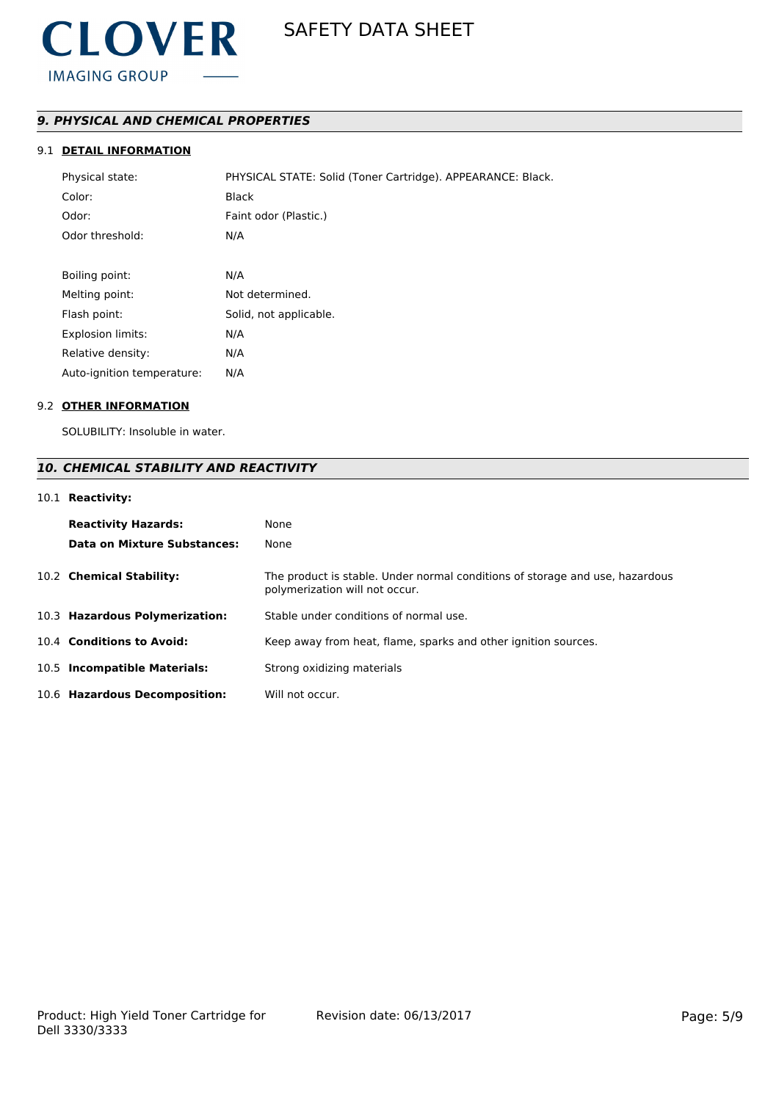

# *9. PHYSICAL AND CHEMICAL PROPERTIES*

# 9.1 **DETAIL INFORMATION**

| Physical state:            | PHYSICAL STATE: Solid (Toner Cartridge). APPEARANCE: Black. |
|----------------------------|-------------------------------------------------------------|
| Color:                     | <b>Black</b>                                                |
| Odor:                      | Faint odor (Plastic.)                                       |
| Odor threshold:            | N/A                                                         |
|                            |                                                             |
| Boiling point:             | N/A                                                         |
| Melting point:             | Not determined.                                             |
| Flash point:               | Solid, not applicable.                                      |
| <b>Explosion limits:</b>   | N/A                                                         |
| Relative density:          | N/A                                                         |
| Auto-ignition temperature: | N/A                                                         |

#### 9.2 **OTHER INFORMATION**

SOLUBILITY: Insoluble in water.

# *10. CHEMICAL STABILITY AND REACTIVITY*

# 10.1 **Reactivity:**

| <b>Reactivity Hazards:</b><br>Data on Mixture Substances: | None<br>None                                                                                                   |
|-----------------------------------------------------------|----------------------------------------------------------------------------------------------------------------|
| 10.2 Chemical Stability:                                  | The product is stable. Under normal conditions of storage and use, hazardous<br>polymerization will not occur. |
| 10.3 Hazardous Polymerization:                            | Stable under conditions of normal use.                                                                         |
| 10.4 Conditions to Avoid:                                 | Keep away from heat, flame, sparks and other ignition sources.                                                 |
| 10.5 Incompatible Materials:                              | Strong oxidizing materials                                                                                     |
| 10.6 Hazardous Decomposition:                             | Will not occur.                                                                                                |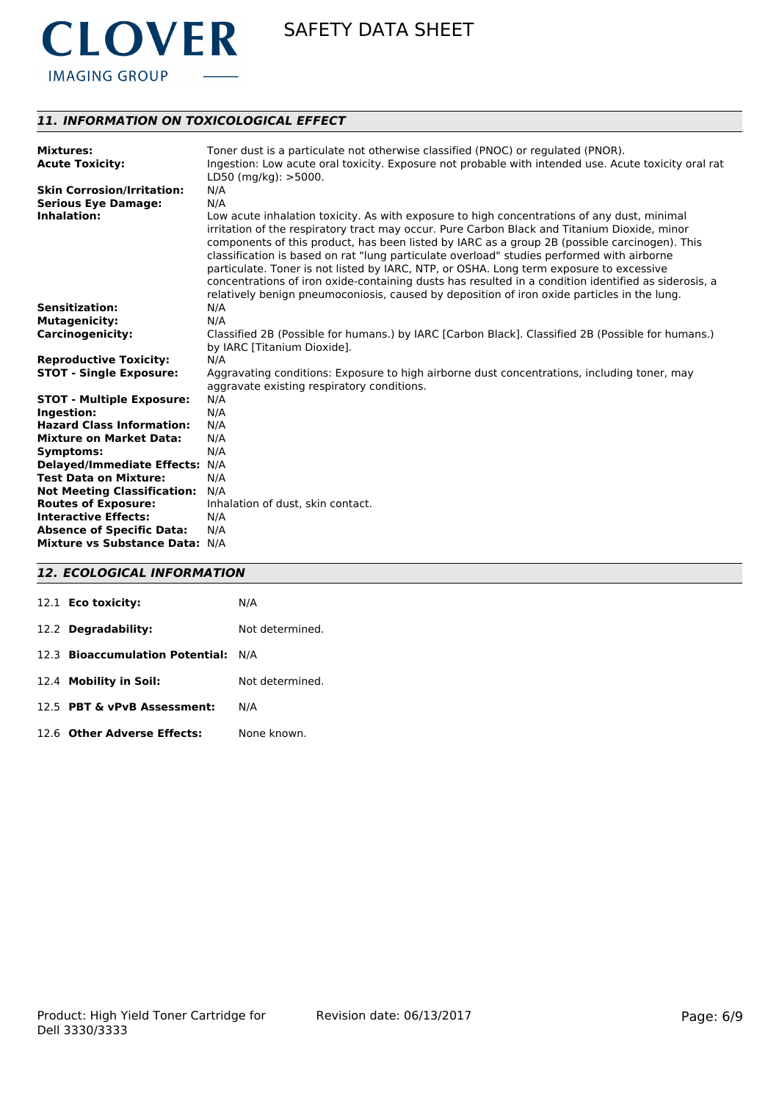

# *11. INFORMATION ON TOXICOLOGICAL EFFECT*

| <b>Mixtures:</b><br><b>Acute Toxicity:</b> | Toner dust is a particulate not otherwise classified (PNOC) or regulated (PNOR).<br>Ingestion: Low acute oral toxicity. Exposure not probable with intended use. Acute toxicity oral rat<br>$LD50$ (mg/kg): $>5000$ .                                                                                                                                                                                                                                                                                                                                                                                                                                                                        |
|--------------------------------------------|----------------------------------------------------------------------------------------------------------------------------------------------------------------------------------------------------------------------------------------------------------------------------------------------------------------------------------------------------------------------------------------------------------------------------------------------------------------------------------------------------------------------------------------------------------------------------------------------------------------------------------------------------------------------------------------------|
| <b>Skin Corrosion/Irritation:</b>          | N/A                                                                                                                                                                                                                                                                                                                                                                                                                                                                                                                                                                                                                                                                                          |
| <b>Serious Eye Damage:</b>                 | N/A                                                                                                                                                                                                                                                                                                                                                                                                                                                                                                                                                                                                                                                                                          |
| Inhalation:                                | Low acute inhalation toxicity. As with exposure to high concentrations of any dust, minimal<br>irritation of the respiratory tract may occur. Pure Carbon Black and Titanium Dioxide, minor<br>components of this product, has been listed by IARC as a group 2B (possible carcinogen). This<br>classification is based on rat "lung particulate overload" studies performed with airborne<br>particulate. Toner is not listed by IARC, NTP, or OSHA. Long term exposure to excessive<br>concentrations of iron oxide-containing dusts has resulted in a condition identified as siderosis, a<br>relatively benign pneumoconiosis, caused by deposition of iron oxide particles in the lung. |
| <b>Sensitization:</b>                      | N/A                                                                                                                                                                                                                                                                                                                                                                                                                                                                                                                                                                                                                                                                                          |
| <b>Mutagenicity:</b>                       | N/A                                                                                                                                                                                                                                                                                                                                                                                                                                                                                                                                                                                                                                                                                          |
| <b>Carcinogenicity:</b>                    | Classified 2B (Possible for humans.) by IARC [Carbon Black]. Classified 2B (Possible for humans.)<br>by IARC [Titanium Dioxide].                                                                                                                                                                                                                                                                                                                                                                                                                                                                                                                                                             |
| <b>Reproductive Toxicity:</b>              | N/A                                                                                                                                                                                                                                                                                                                                                                                                                                                                                                                                                                                                                                                                                          |
| <b>STOT - Single Exposure:</b>             | Aggravating conditions: Exposure to high airborne dust concentrations, including toner, may<br>aggravate existing respiratory conditions.                                                                                                                                                                                                                                                                                                                                                                                                                                                                                                                                                    |
| <b>STOT - Multiple Exposure:</b>           | N/A                                                                                                                                                                                                                                                                                                                                                                                                                                                                                                                                                                                                                                                                                          |
| Ingestion:                                 | N/A                                                                                                                                                                                                                                                                                                                                                                                                                                                                                                                                                                                                                                                                                          |
| <b>Hazard Class Information:</b>           | N/A                                                                                                                                                                                                                                                                                                                                                                                                                                                                                                                                                                                                                                                                                          |
| <b>Mixture on Market Data:</b>             | N/A                                                                                                                                                                                                                                                                                                                                                                                                                                                                                                                                                                                                                                                                                          |
| <b>Symptoms:</b>                           | N/A                                                                                                                                                                                                                                                                                                                                                                                                                                                                                                                                                                                                                                                                                          |
| <b>Delayed/Immediate Effects:</b>          | N/A                                                                                                                                                                                                                                                                                                                                                                                                                                                                                                                                                                                                                                                                                          |
| <b>Test Data on Mixture:</b>               | N/A                                                                                                                                                                                                                                                                                                                                                                                                                                                                                                                                                                                                                                                                                          |
| <b>Not Meeting Classification:</b>         | N/A                                                                                                                                                                                                                                                                                                                                                                                                                                                                                                                                                                                                                                                                                          |
| <b>Routes of Exposure:</b>                 | Inhalation of dust, skin contact.                                                                                                                                                                                                                                                                                                                                                                                                                                                                                                                                                                                                                                                            |
| <b>Interactive Effects:</b>                | N/A                                                                                                                                                                                                                                                                                                                                                                                                                                                                                                                                                                                                                                                                                          |
| <b>Absence of Specific Data:</b>           | N/A                                                                                                                                                                                                                                                                                                                                                                                                                                                                                                                                                                                                                                                                                          |
| Mixture vs Substance Data: N/A             |                                                                                                                                                                                                                                                                                                                                                                                                                                                                                                                                                                                                                                                                                              |

# *12. ECOLOGICAL INFORMATION*

| 12.1 <b>Eco toxicity:</b>           | N/A             |
|-------------------------------------|-----------------|
| 12.2 Degradability:                 | Not determined. |
| 12.3 Bioaccumulation Potential: N/A |                 |
| 12.4 Mobility in Soil:              | Not determined. |
| 12.5 PBT & vPvB Assessment:         | N/A             |
| 12.6 Other Adverse Effects:         | None known.     |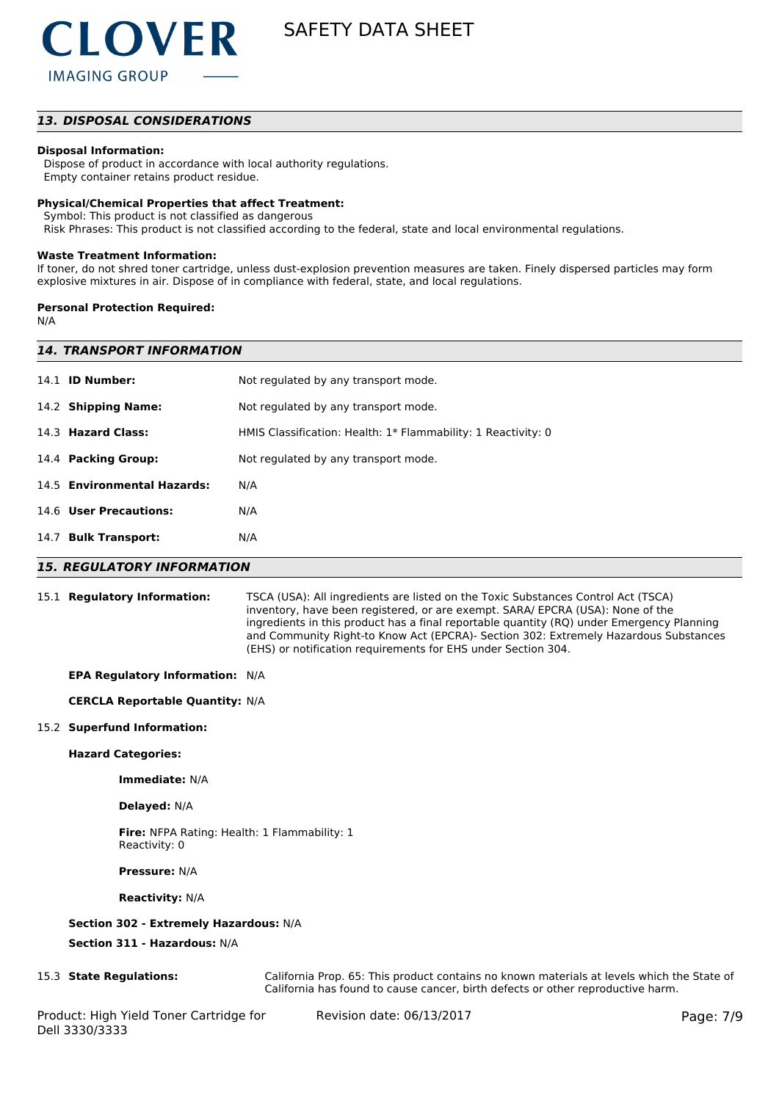

# *13. DISPOSAL CONSIDERATIONS*

#### **Disposal Information:**

 Dispose of product in accordance with local authority regulations. Empty container retains product residue.

# **Physical/Chemical Properties that affect Treatment:**

Symbol: This product is not classified as dangerous

Risk Phrases: This product is not classified according to the federal, state and local environmental regulations.

#### **Waste Treatment Information:**

If toner, do not shred toner cartridge, unless dust-explosion prevention measures are taken. Finely dispersed particles may form explosive mixtures in air. Dispose of in compliance with federal, state, and local regulations.

#### **Personal Protection Required:**

N/A

| <b>14. TRANSPORT INFORMATION</b> |                                                               |  |  |
|----------------------------------|---------------------------------------------------------------|--|--|
| 14.1 <b>ID Number:</b>           | Not regulated by any transport mode.                          |  |  |
| 14.2 Shipping Name:              | Not regulated by any transport mode.                          |  |  |
| 14.3 Hazard Class:               | HMIS Classification: Health: 1* Flammability: 1 Reactivity: 0 |  |  |
| 14.4 Packing Group:              | Not regulated by any transport mode.                          |  |  |
| 14.5 Environmental Hazards:      | N/A                                                           |  |  |
| 14.6 User Precautions:           | N/A                                                           |  |  |
| 14.7 Bulk Transport:             | N/A                                                           |  |  |
|                                  |                                                               |  |  |

#### *15. REGULATORY INFORMATION*

15.1 **Regulatory Information:** TSCA (USA): All ingredients are listed on the Toxic Substances Control Act (TSCA) inventory, have been registered, or are exempt. SARA/ EPCRA (USA): None of the ingredients in this product has a final reportable quantity (RQ) under Emergency Planning and Community Right-to Know Act (EPCRA)- Section 302: Extremely Hazardous Substances (EHS) or notification requirements for EHS under Section 304.

#### **EPA Regulatory Information:** N/A

#### **CERCLA Reportable Quantity:** N/A

#### 15.2 **Superfund Information:**

#### **Hazard Categories:**

**Immediate:** N/A

#### **Delayed:** N/A

**Fire:** NFPA Rating: Health: 1 Flammability: 1 Reactivity: 0

**Pressure:** N/A

#### **Reactivity:** N/A

#### **Section 302 - Extremely Hazardous:** N/A

**Section 311 - Hazardous:** N/A

15.3 **State Regulations:** California Prop. 65: This product contains no known materials at levels which the State of California has found to cause cancer, birth defects or other reproductive harm.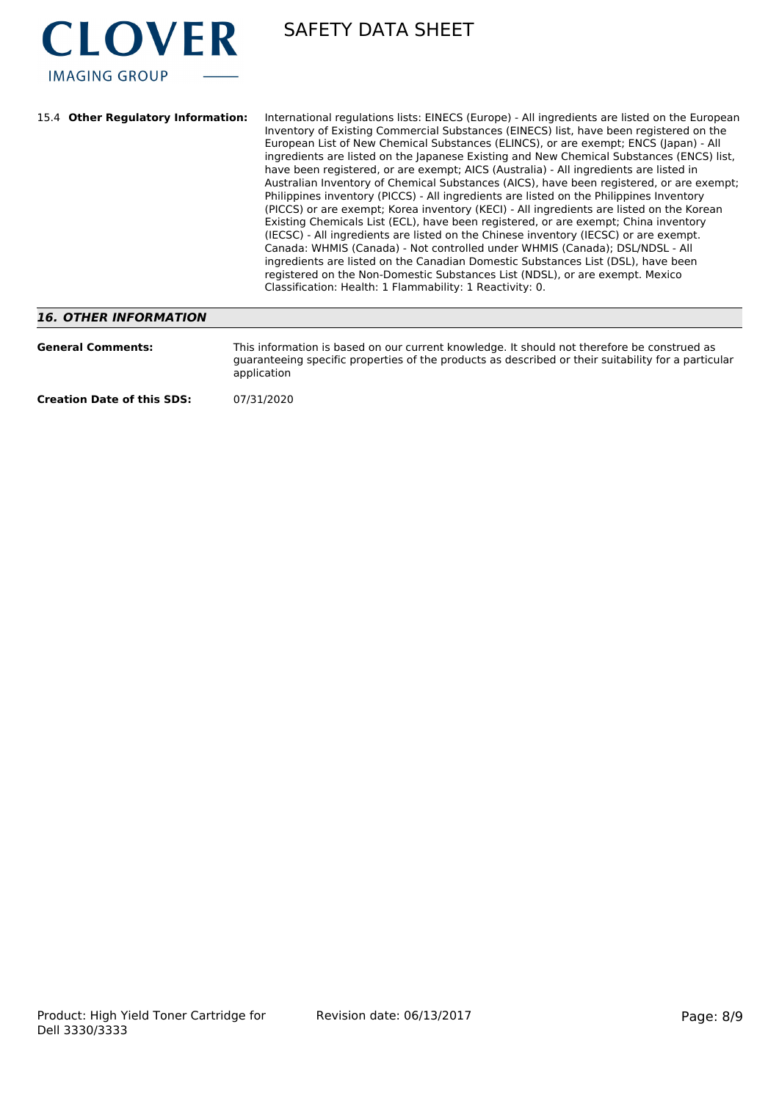

| 15.4 Other Regulatory Information: | International regulations lists: EINECS (Europe) - All ingredients are listed on the European<br>Inventory of Existing Commercial Substances (EINECS) list, have been registered on the<br>European List of New Chemical Substances (ELINCS), or are exempt; ENCS (Japan) - All<br>ingredients are listed on the Japanese Existing and New Chemical Substances (ENCS) list,<br>have been registered, or are exempt; AICS (Australia) - All ingredients are listed in<br>Australian Inventory of Chemical Substances (AICS), have been registered, or are exempt;<br>Philippines inventory (PICCS) - All ingredients are listed on the Philippines Inventory<br>(PICCS) or are exempt; Korea inventory (KECI) - All ingredients are listed on the Korean<br>Existing Chemicals List (ECL), have been registered, or are exempt; China inventory<br>(IECSC) - All ingredients are listed on the Chinese inventory (IECSC) or are exempt.<br>Canada: WHMIS (Canada) - Not controlled under WHMIS (Canada); DSL/NDSL - All<br>ingredients are listed on the Canadian Domestic Substances List (DSL), have been<br>registered on the Non-Domestic Substances List (NDSL), or are exempt. Mexico<br>Classification: Health: 1 Flammability: 1 Reactivity: 0. |
|------------------------------------|--------------------------------------------------------------------------------------------------------------------------------------------------------------------------------------------------------------------------------------------------------------------------------------------------------------------------------------------------------------------------------------------------------------------------------------------------------------------------------------------------------------------------------------------------------------------------------------------------------------------------------------------------------------------------------------------------------------------------------------------------------------------------------------------------------------------------------------------------------------------------------------------------------------------------------------------------------------------------------------------------------------------------------------------------------------------------------------------------------------------------------------------------------------------------------------------------------------------------------------------------------|
| 16. OTHER INFORMATION              |                                                                                                                                                                                                                                                                                                                                                                                                                                                                                                                                                                                                                                                                                                                                                                                                                                                                                                                                                                                                                                                                                                                                                                                                                                                        |

# *16. OTHER INFORMATION*

| <b>General Comments:</b>          | This information is based on our current knowledge. It should not therefore be construed as<br>guaranteeing specific properties of the products as described or their suitability for a particular<br>application |
|-----------------------------------|-------------------------------------------------------------------------------------------------------------------------------------------------------------------------------------------------------------------|
| <b>Creation Date of this SDS:</b> | 07/31/2020                                                                                                                                                                                                        |